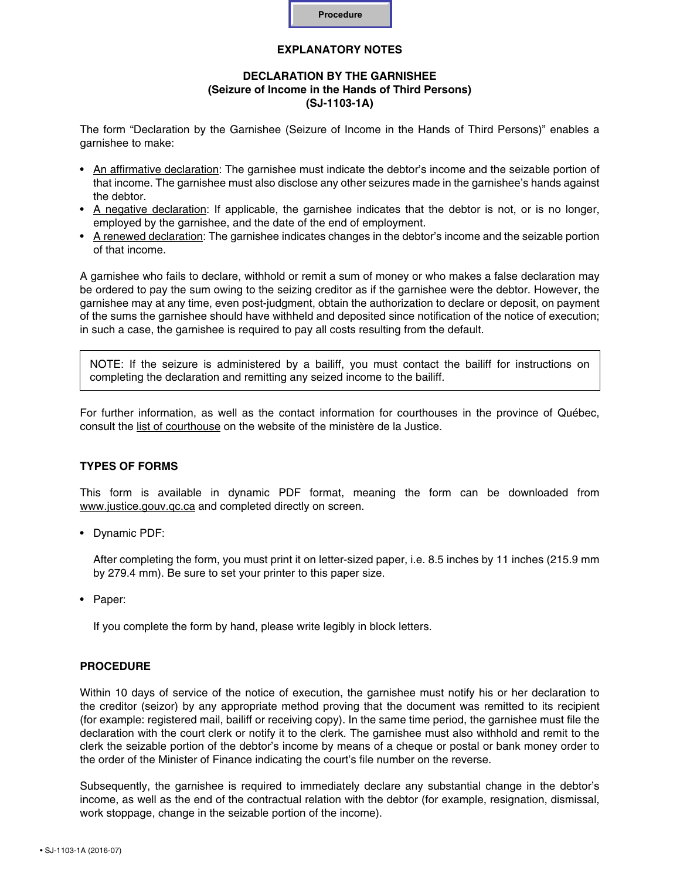

# **EXPLANATORY NOTES**

## **DECLARATION BY THE GARNISHEE (Seizure of Income in the Hands of Third Persons) (SJ-1103-1A)**

The form "Declaration by the Garnishee (Seizure of Income in the Hands of Third Persons)" enables a garnishee to make:

- • An affirmative declaration: The garnishee must indicate the debtor's income and the seizable portion of that income. The garnishee must also disclose any other seizures made in the garnishee's hands against the debtor.
- • A negative declaration: If applicable, the garnishee indicates that the debtor is not, or is no longer, employed by the garnishee, and the date of the end of employment.
- • A renewed declaration: The garnishee indicates changes in the debtor's income and the seizable portion of that income.

A garnishee who fails to declare, withhold or remit a sum of money or who makes a false declaration may be ordered to pay the sum owing to the seizing creditor as if the garnishee were the debtor. However, the garnishee may at any time, even post-judgment, obtain the authorization to declare or deposit, on payment of the sums the garnishee should have withheld and deposited since notification of the notice of execution; in such a case, the garnishee is required to pay all costs resulting from the default.

NOTE: If the seizure is administered by a bailiff, you must contact the bailiff for instructions on completing the declaration and remitting any seized income to the bailiff.

For further information, as well as the contact information for courthouses in the province of Québec, consult the [list of courthouse](http://www.justice.gouv.qc.ca/en/join-us/find-a-courthouse/) on the website of the ministère de la Justice.

#### **TYPES OF FORMS**

This form is available in dynamic PDF format, meaning the form can be downloaded from www.justice.gouv.gc.ca and completed directly on screen.

• Dynamic PDF:

After completing the form, you must print it on letter-sized paper, i.e. 8.5 inches by 11 inches (215.9 mm by 279.4 mm). Be sure to set your printer to this paper size.

• Paper:

If you complete the form by hand, please write legibly in block letters.

#### **PROCEDURE**

Within 10 days of service of the notice of execution, the garnishee must notify his or her declaration to the creditor (seizor) by any appropriate method proving that the document was remitted to its recipient (for example: registered mail, bailiff or receiving copy). In the same time period, the garnishee must file the declaration with the court clerk or notify it to the clerk. The garnishee must also withhold and remit to the clerk the seizable portion of the debtor's income by means of a cheque or postal or bank money order to the order of the Minister of Finance indicating the court's file number on the reverse.

Subsequently, the garnishee is required to immediately declare any substantial change in the debtor's income, as well as the end of the contractual relation with the debtor (for example, resignation, dismissal, work stoppage, change in the seizable portion of the income).